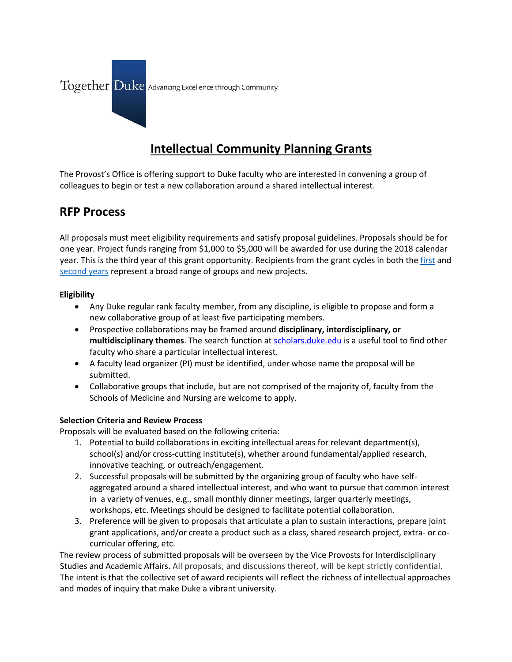

# **Intellectual Community Planning Grants**

The Provost's Office is offering support to Duke faculty who are interested in convening a group of colleagues to begin or test a new collaboration around a shared intellectual interest.

# **RFP Process**

All proposals must meet eligibility requirements and satisfy proposal guidelines. Proposals should be for one year. Project funds ranging from \$1,000 to \$5,000 will be awarded for use during the 2018 calendar year. This is the third year of this grant opportunity. Recipients from the grant cycles in both th[e first](https://sites.duke.edu/interdisciplinary/2016/05/19/new-grants-advance-scholarly-communities-at-duke-and-beyond/) and [second years](https://sites.duke.edu/interdisciplinary/2017/02/06/seven-groups-of-faculty-receive-intellectual-community-planning-grants/) represent a broad range of groups and new projects.

# **Eligibility**

- Any Duke regular rank faculty member, from any discipline, is eligible to propose and form a new collaborative group of at least five participating members.
- Prospective collaborations may be framed around **disciplinary, interdisciplinary, or multidisciplinary themes**. The search function a[t scholars.duke.edu](https://scholars.duke.edu/) is a useful tool to find other faculty who share a particular intellectual interest.
- A faculty lead organizer (PI) must be identified, under whose name the proposal will be submitted.
- Collaborative groups that include, but are not comprised of the majority of, faculty from the Schools of Medicine and Nursing are welcome to apply.

# **Selection Criteria and Review Process**

Proposals will be evaluated based on the following criteria:

- 1. Potential to build collaborations in exciting intellectual areas for relevant department(s), school(s) and/or cross-cutting institute(s), whether around fundamental/applied research, innovative teaching, or outreach/engagement.
- 2. Successful proposals will be submitted by the organizing group of faculty who have selfaggregated around a shared intellectual interest, and who want to pursue that common interest in a variety of venues, e.g., small monthly dinner meetings, larger quarterly meetings, workshops, etc. Meetings should be designed to facilitate potential collaboration.
- 3. Preference will be given to proposals that articulate a plan to sustain interactions, prepare joint grant applications, and/or create a product such as a class, shared research project, extra- or cocurricular offering, etc.

The review process of submitted proposals will be overseen by the Vice Provosts for Interdisciplinary Studies and Academic Affairs. All proposals, and discussions thereof, will be kept strictly confidential. The intent is that the collective set of award recipients will reflect the richness of intellectual approaches and modes of inquiry that make Duke a vibrant university.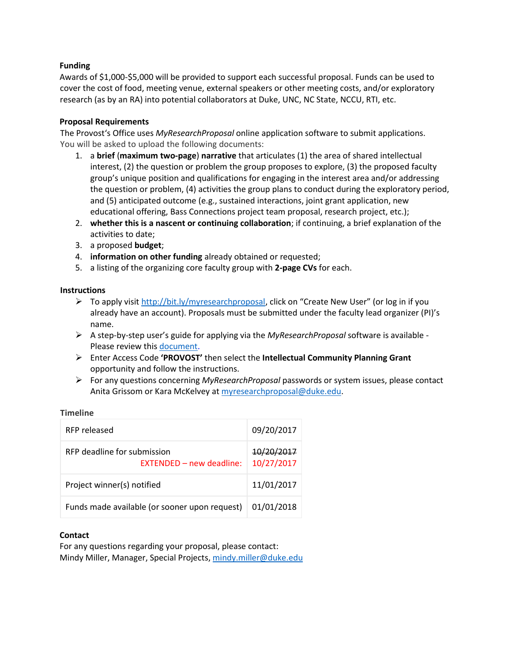# **Funding**

Awards of \$1,000-\$5,000 will be provided to support each successful proposal. Funds can be used to cover the cost of food, meeting venue, external speakers or other meeting costs, and/or exploratory research (as by an RA) into potential collaborators at Duke, UNC, NC State, NCCU, RTI, etc.

# **Proposal Requirements**

The Provost's Office uses *MyResearchProposal* online application software to submit applications. You will be asked to upload the following documents:

- 1. a **brief** (**maximum two-page**) **narrative** that articulates (1) the area of shared intellectual interest, (2) the question or problem the group proposes to explore, (3) the proposed faculty group's unique position and qualifications for engaging in the interest area and/or addressing the question or problem, (4) activities the group plans to conduct during the exploratory period, and (5) anticipated outcome (e.g., sustained interactions, joint grant application, new educational offering, Bass Connections project team proposal, research project, etc.);
- 2. **whether this is a nascent or continuing collaboration**; if continuing, a brief explanation of the activities to date;
- 3. a proposed **budget**;
- 4. **information on other funding** already obtained or requested;
- 5. a listing of the organizing core faculty group with **2-page CVs** for each.

### **Instructions**

- ▶ To apply visit<http://bit.ly/myresearchproposal>, click on "Create New User" (or log in if you already have an account). Proposals must be submitted under the faculty lead organizer (PI)'s name.
- A step-by-step user's guide for applying via the *MyResearchProposal* software is available Please review thi[s document.](https://www.ctsi.duke.edu/sites/www.ctsi.duke.edu/files/images/Applicant%20Work%20Flow_%20My%20Research%20Proposal%20Instructions_20170307.pdf)
- Enter Access Code **'PROVOST'** then select the **Intellectual Community Planning Grant** opportunity and follow the instructions.
- For any questions concerning *MyResearchProposal* passwords or system issues, please contact Anita Grissom or Kara McKelvey at [myresearchproposal@duke.edu.](mailto:myresearchproposal@duke.edu)

### **Timeline**

| RFP released                                                   | 09/20/2017               |
|----------------------------------------------------------------|--------------------------|
| RFP deadline for submission<br><b>FXTENDED – new deadline:</b> | 10/20/2017<br>10/27/2017 |
| Project winner(s) notified                                     | 11/01/2017               |
| Funds made available (or sooner upon request)                  | 01/01/2018               |

#### **Contact**

For any questions regarding your proposal, please contact: Mindy Miller, Manager, Special Projects[, mindy.miller@duke.edu](mailto:mindy.miller@duke.edu)